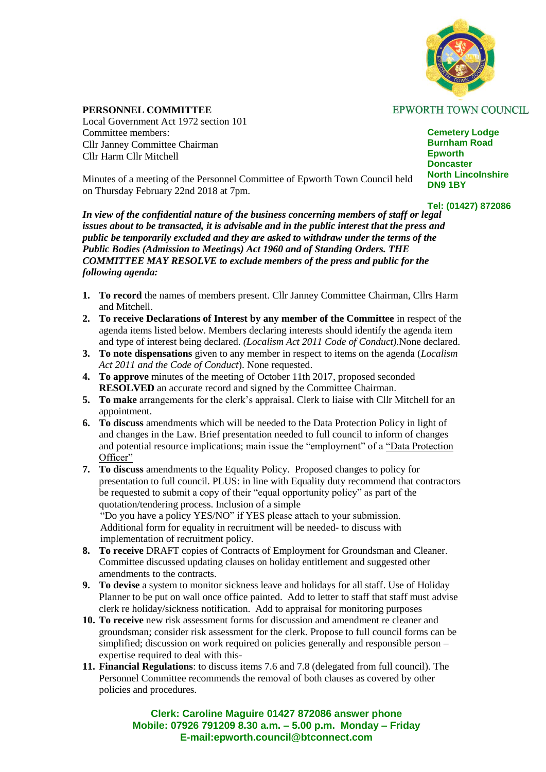

**EPWORTH TOWN COUNCIL** 

## **PERSONNEL COMMITTEE**

Local Government Act 1972 section 101 Committee members: Cllr Janney Committee Chairman Cllr Harm Cllr Mitchell

**Cemetery Lodge Burnham Road Epworth Doncaster North Lincolnshire DN9 1BY**

Minutes of a meeting of the Personnel Committee of Epworth Town Council held on Thursday February 22nd 2018 at 7pm.

**Tel: (01427) 872086**

*In view of the confidential nature of the business concerning members of staff or legal issues about to be transacted, it is advisable and in the public interest that the press and public be temporarily excluded and they are asked to withdraw under the terms of the Public Bodies (Admission to Meetings) Act 1960 and of Standing Orders. THE COMMITTEE MAY RESOLVE to exclude members of the press and public for the following agenda:*

- **1. To record** the names of members present. Cllr Janney Committee Chairman, Cllrs Harm and Mitchell.
- **2. To receive Declarations of Interest by any member of the Committee** in respect of the agenda items listed below. Members declaring interests should identify the agenda item and type of interest being declared. *(Localism Act 2011 Code of Conduct).*None declared.
- **3. To note dispensations** given to any member in respect to items on the agenda (*Localism Act 2011 and the Code of Conduct*). None requested.
- **4. To approve** minutes of the meeting of October 11th 2017, proposed seconded **RESOLVED** an accurate record and signed by the Committee Chairman.
- **5. To make** arrangements for the clerk's appraisal. Clerk to liaise with Cllr Mitchell for an appointment.
- **6. To discuss** amendments which will be needed to the Data Protection Policy in light of and changes in the Law. Brief presentation needed to full council to inform of changes and potential resource implications; main issue the "employment" of a "Data Protection Officer"
- **7. To discuss** amendments to the Equality Policy. Proposed changes to policy for presentation to full council. PLUS: in line with Equality duty recommend that contractors be requested to submit a copy of their "equal opportunity policy" as part of the quotation/tendering process. Inclusion of a simple "Do you have a policy YES/NO" if YES please attach to your submission. Additional form for equality in recruitment will be needed- to discuss with implementation of recruitment policy.
- **8. To receive** DRAFT copies of Contracts of Employment for Groundsman and Cleaner. Committee discussed updating clauses on holiday entitlement and suggested other amendments to the contracts.
- **9. To devise** a system to monitor sickness leave and holidays for all staff. Use of Holiday Planner to be put on wall once office painted. Add to letter to staff that staff must advise clerk re holiday/sickness notification. Add to appraisal for monitoring purposes
- **10. To receive** new risk assessment forms for discussion and amendment re cleaner and groundsman; consider risk assessment for the clerk. Propose to full council forms can be simplified; discussion on work required on policies generally and responsible person – expertise required to deal with this-
- **11. Financial Regulations**: to discuss items 7.6 and 7.8 (delegated from full council). The Personnel Committee recommends the removal of both clauses as covered by other policies and procedures.

**Clerk: Caroline Maguire 01427 872086 answer phone Mobile: 07926 791209 8.30 a.m. – 5.00 p.m. Monday – Friday E-mail:epworth.council@btconnect.com**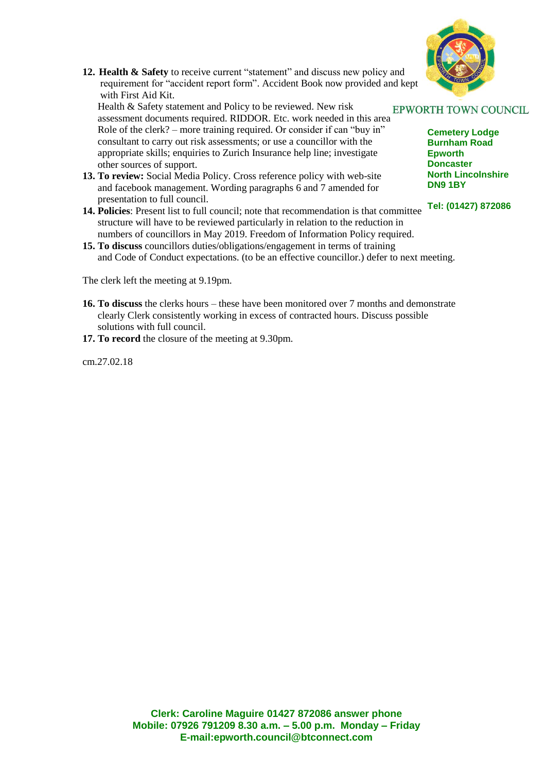

**12. Health & Safety** to receive current "statement" and discuss new policy and requirement for "accident report form". Accident Book now provided and kept with First Aid Kit.

Health & Safety statement and Policy to be reviewed. New risk Health & Safety statement and Policy to be reviewed. New risk<br>assessment documents required. RIDDOR. Etc. work needed in this area Role of the clerk? – more training required. Or consider if can "buy in" consultant to carry out risk assessments; or use a councillor with the appropriate skills; enquiries to Zurich Insurance help line; investigate other sources of support.

- **13. To review:** Social Media Policy. Cross reference policy with web-site and facebook management. Wording paragraphs 6 and 7 amended for presentation to full council.
- **14. Policies**: Present list to full council; note that recommendation is that committee structure will have to be reviewed particularly in relation to the reduction in numbers of councillors in May 2019. Freedom of Information Policy required.
- **15. To discuss** councillors duties/obligations/engagement in terms of training and Code of Conduct expectations. (to be an effective councillor.) defer to next meeting.

The clerk left the meeting at 9.19pm.

- **16. To discuss** the clerks hours these have been monitored over 7 months and demonstrate clearly Clerk consistently working in excess of contracted hours. Discuss possible solutions with full council.
- **17. To record** the closure of the meeting at 9.30pm.

cm.27.02.18

**Cemetery Lodge Burnham Road Epworth Doncaster North Lincolnshire DN9 1BY**

**Tel: (01427) 872086**